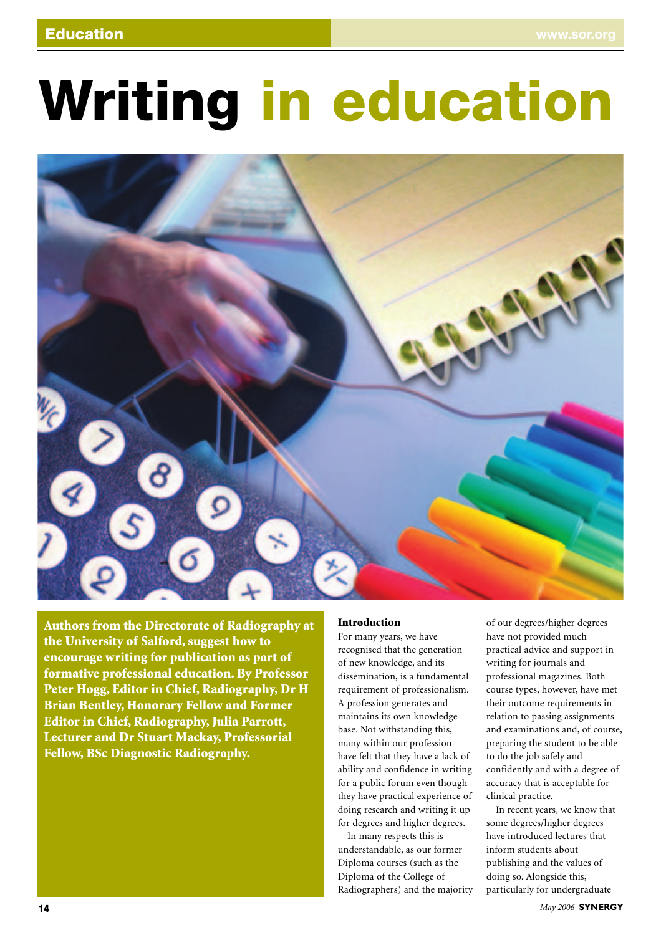# **Writing in education**



**Authors from the Directorate of Radiography at the University of Salford, suggest how to encourage writing for publication as part of formative professional education. By Professor Peter Hogg, Editor in Chief, Radiography, Dr H Brian Bentley, Honorary Fellow and Former Editor in Chief, Radiography, Julia Parrott, Lecturer and Dr Stuart Mackay, Professorial Fellow, BSc Diagnostic Radiography.**

## **Introduction**

For many years, we have recognised that the generation of new knowledge, and its dissemination, is a fundamental requirement of professionalism. A profession generates and maintains its own knowledge base. Not withstanding this, many within our profession have felt that they have a lack of ability and confidence in writing for a public forum even though they have practical experience of doing research and writing it up for degrees and higher degrees.

In many respects this is understandable, as our former Diploma courses (such as the Diploma of the College of Radiographers) and the majority of our degrees/higher degrees have not provided much practical advice and support in writing for journals and professional magazines. Both course types, however, have met their outcome requirements in relation to passing assignments and examinations and, of course, preparing the student to be able to do the job safely and confidently and with a degree of accuracy that is acceptable for clinical practice.

In recent years, we know that some degrees/higher degrees have introduced lectures that inform students about publishing and the values of doing so. Alongside this, particularly for undergraduate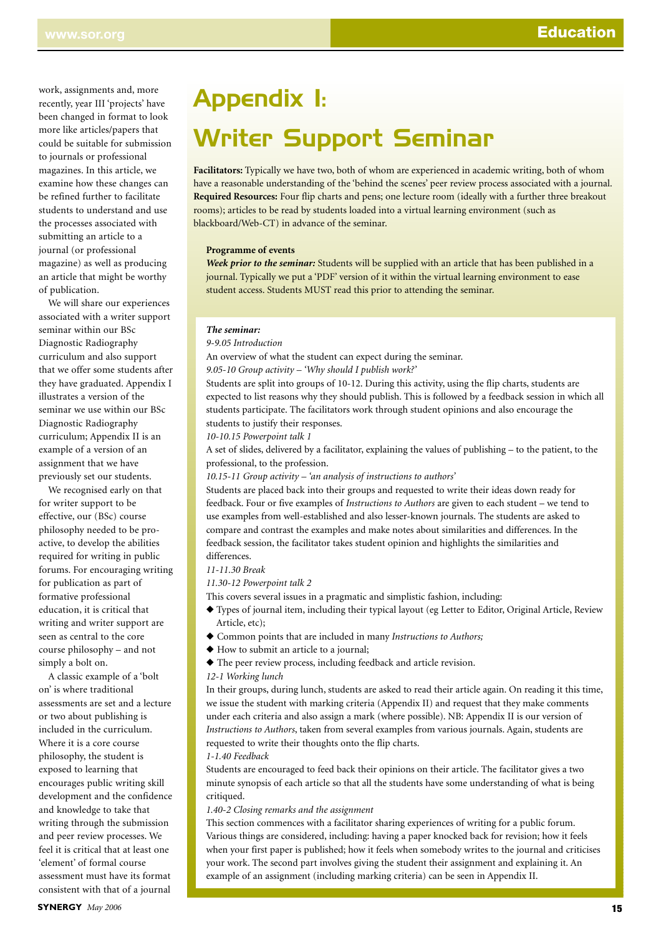work, assignments and, more recently, year III 'projects' have been changed in format to look more like articles/papers that could be suitable for submission to journals or professional magazines. In this article, we examine how these changes can be refined further to facilitate students to understand and use the processes associated with submitting an article to a journal (or professional magazine) as well as producing an article that might be worthy of publication.

We will share our experiences associated with a writer support seminar within our BSc Diagnostic Radiography curriculum and also support that we offer some students after they have graduated. Appendix I illustrates a version of the seminar we use within our BSc Diagnostic Radiography curriculum; Appendix II is an example of a version of an assignment that we have previously set our students.

We recognised early on that for writer support to be effective, our (BSc) course philosophy needed to be proactive, to develop the abilities required for writing in public forums. For encouraging writing for publication as part of formative professional education, it is critical that writing and writer support are seen as central to the core course philosophy – and not simply a bolt on.

A classic example of a 'bolt on' is where traditional assessments are set and a lecture or two about publishing is included in the curriculum. Where it is a core course philosophy, the student is exposed to learning that encourages public writing skill development and the confidence and knowledge to take that writing through the submission and peer review processes. We feel it is critical that at least one 'element' of formal course assessment must have its format consistent with that of a journal

# Appendix I: Writer Support Seminar

**Facilitators:** Typically we have two, both of whom are experienced in academic writing, both of whom have a reasonable understanding of the 'behind the scenes' peer review process associated with a journal. **Required Resources:** Four flip charts and pens; one lecture room (ideally with a further three breakout rooms); articles to be read by students loaded into a virtual learning environment (such as blackboard/Web-CT) in advance of the seminar.

# **Programme of events**

*Week prior to the seminar:* Students will be supplied with an article that has been published in a journal. Typically we put a 'PDF' version of it within the virtual learning environment to ease student access. Students MUST read this prior to attending the seminar.

#### *The seminar:*

*9-9.05 Introduction*

An overview of what the student can expect during the seminar.

*9.05-10 Group activity – 'Why should I publish work?'*

Students are split into groups of 10-12. During this activity, using the flip charts, students are expected to list reasons why they should publish. This is followed by a feedback session in which all students participate. The facilitators work through student opinions and also encourage the students to justify their responses.

*10-10.15 Powerpoint talk 1*

A set of slides, delivered by a facilitator, explaining the values of publishing – to the patient, to the professional, to the profession.

*10.15-11 Group activity – 'an analysis of instructions to authors'*

Students are placed back into their groups and requested to write their ideas down ready for feedback. Four or five examples of *Instructions to Authors* are given to each student – we tend to use examples from well-established and also lesser-known journals. The students are asked to compare and contrast the examples and make notes about similarities and differences. In the feedback session, the facilitator takes student opinion and highlights the similarities and differences.

## *11-11.30 Break*

*11.30-12 Powerpoint talk 2*

This covers several issues in a pragmatic and simplistic fashion, including:

- ◆ Types of journal item, including their typical layout (eg Letter to Editor, Original Article, Review Article, etc);
- ◆ Common points that are included in many *Instructions to Authors;*
- ◆ How to submit an article to a journal;
- ◆ The peer review process, including feedback and article revision.

# *12-1 Working lunch*

In their groups, during lunch, students are asked to read their article again. On reading it this time, we issue the student with marking criteria (Appendix II) and request that they make comments under each criteria and also assign a mark (where possible). NB: Appendix II is our version of *Instructions to Authors*, taken from several examples from various journals. Again, students are requested to write their thoughts onto the flip charts.

*1-1.40 Feedback*

Students are encouraged to feed back their opinions on their article. The facilitator gives a two minute synopsis of each article so that all the students have some understanding of what is being critiqued.

## *1.40-2 Closing remarks and the assignment*

This section commences with a facilitator sharing experiences of writing for a public forum. Various things are considered, including: having a paper knocked back for revision; how it feels when your first paper is published; how it feels when somebody writes to the journal and criticises your work. The second part involves giving the student their assignment and explaining it. An example of an assignment (including marking criteria) can be seen in Appendix II.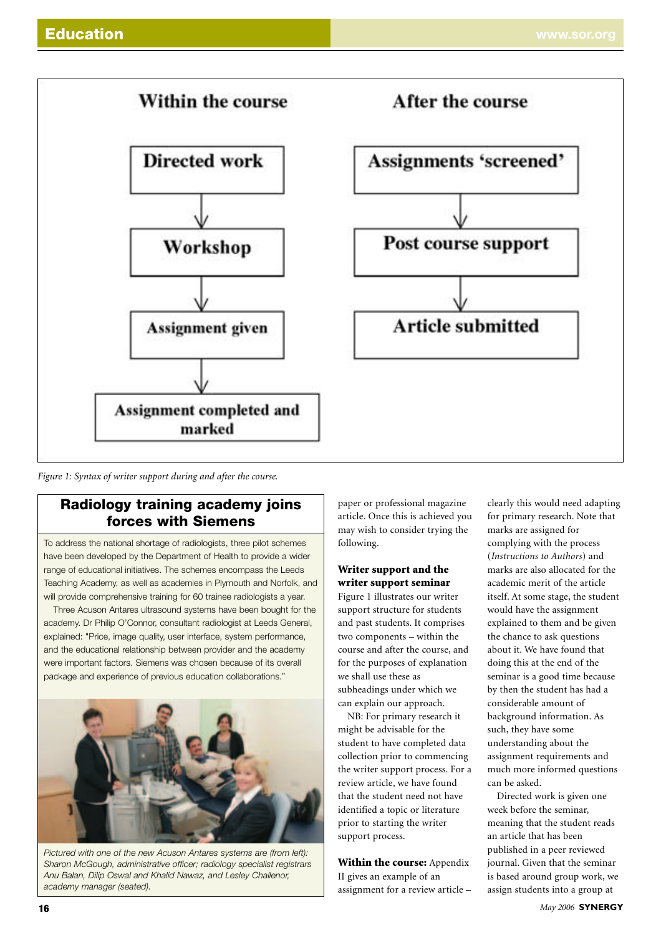

*Figure 1: Syntax of writer support during and after the course.*

# **Radiology training academy joins forces with Siemens**

To address the national shortage of radiologists, three pilot schemes have been developed by the Department of Health to provide a wider range of educational initiatives. The schemes encompass the Leeds Teaching Academy, as well as academies in Plymouth and Norfolk, and will provide comprehensive training for 60 trainee radiologists a year.

Three Acuson Antares ultrasound systems have been bought for the academy. Dr Philip O'Connor, consultant radiologist at Leeds General, explained: "Price, image quality, user interface, system performance, and the educational relationship between provider and the academy were important factors. Siemens was chosen because of its overall package and experience of previous education collaborations."



*Pictured with one of the new Acuson Antares systems are (from left): Sharon McGough, administrative officer; radiology specialist registrars Anu Balan, Dilip Oswal and Khalid Nawaz, and Lesley Challenor, academy manager (seated).*

paper or professional magazine article. Once this is achieved you may wish to consider trying the following.

# **Writer support and the writer support seminar**

Figure 1 illustrates our writer support structure for students and past students. It comprises two components – within the course and after the course, and for the purposes of explanation we shall use these as subheadings under which we can explain our approach.

NB: For primary research it might be advisable for the student to have completed data collection prior to commencing the writer support process. For a review article, we have found that the student need not have identified a topic or literature prior to starting the writer support process.

**Within the course:** Appendix II gives an example of an assignment for a review article – clearly this would need adapting for primary research. Note that marks are assigned for complying with the process (*Instructions to Authors*) and marks are also allocated for the academic merit of the article itself. At some stage, the student would have the assignment explained to them and be given the chance to ask questions about it. We have found that doing this at the end of the seminar is a good time because by then the student has had a considerable amount of background information. As such, they have some understanding about the assignment requirements and much more informed questions can be asked.

Directed work is given one week before the seminar, meaning that the student reads an article that has been published in a peer reviewed journal. Given that the seminar is based around group work, we assign students into a group at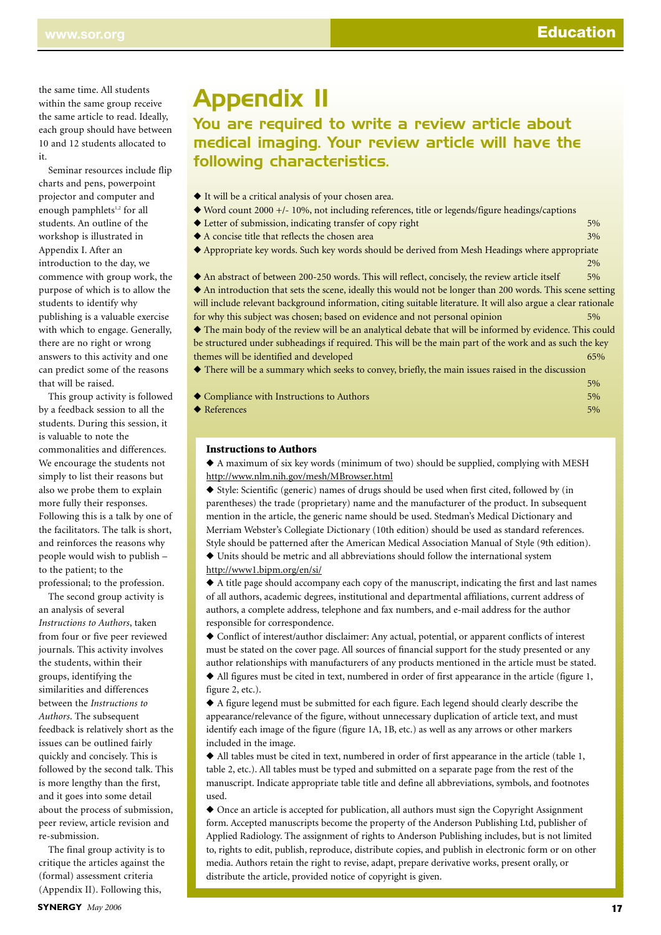5%

the same time. All students within the same group receive the same article to read. Ideally, each group should have between 10 and 12 students allocated to it.

Seminar resources include flip charts and pens, powerpoint projector and computer and enough pamphlets<sup>1,2</sup> for all students. An outline of the workshop is illustrated in Appendix I. After an introduction to the day, we commence with group work, the purpose of which is to allow the students to identify why publishing is a valuable exercise with which to engage. Generally, there are no right or wrong answers to this activity and one can predict some of the reasons that will be raised.

This group activity is follow by a feedback session to all the students. During this session, it is valuable to note the commonalities and differences. We encourage the students not simply to list their reasons but also we probe them to explain more fully their responses. Following this is a talk by one of the facilitators. The talk is short, and reinforces the reasons why people would wish to publish – to the patient; to the professional; to the profession.

The second group activity is an analysis of several *Instructions to Authors*, taken from four or five peer reviewed journals. This activity involves the students, within their groups, identifying the similarities and differences between the *Instructions to Authors*. The subsequent feedback is relatively short as the issues can be outlined fairly quickly and concisely. This is followed by the second talk. This is more lengthy than the first, and it goes into some detail about the process of submission, peer review, article revision and re-submission.

The final group activity is to critique the articles against the (formal) assessment criteria (Appendix II). Following this,

# Appendix II

# You are required to write a review article about medical imaging. Your review article will have the following characteristics.

- ◆ It will be a critical analysis of your chosen area.
- ◆ Word count 2000 +/- 10%, not including references, title or legends/figure headings/captions
- ◆ Letter of submission, indicating transfer of copy right 5% and 5% and 5% and 5% and 5% and 5% and 5% and 5% and 5% and 5% and 5% and 5% and 5% and 5% and 5% and 5% and 5% and 5% and 5% and 5% and 5% and 5% and 5% and 5%
- ◆ A concise title that reflects the chosen area 3% 3%
- ◆ Appropriate key words. Such key words should be derived from Mesh Headings where appropriate

 $20/6$ ◆ An abstract of between 200-250 words. This will reflect, concisely, the review article itself 5% ◆ An introduction that sets the scene, ideally this would not be longer than 200 words. This scene setting will include relevant background information, citing suitable literature. It will also argue a clear rationale for why this subject was chosen; based on evidence and not personal opinion ◆ The main body of the review will be an analytical debate that will be informed by evidence. This could be structured under subheadings if required. This will be the main part of the work and as such the key themes will be identified and developed 65% and  $65%$ 

◆ There will be a summary which seeks to convey, briefly, the main issues raised in the discussion

| ed ● Compliance with Instructions to Authors | $\sim$ $\sim$<br>$5\%$ |
|----------------------------------------------|------------------------|
| $\blacktriangleright$ References             | $5\%$                  |

## **Instructions to Authors**

◆ A maximum of six key words (minimum of two) should be supplied, complying with MESH http://www.nlm.nih.gov/mesh/MBrowser.html

◆ Style: Scientific (generic) names of drugs should be used when first cited, followed by (in parentheses) the trade (proprietary) name and the manufacturer of the product. In subsequent mention in the article, the generic name should be used. Stedman's Medical Dictionary and Merriam Webster's Collegiate Dictionary (10th edition) should be used as standard references. Style should be patterned after the American Medical Association Manual of Style (9th edition).

◆ Units should be metric and all abbreviations should follow the international system http://www1.bipm.org/en/si/

◆ A title page should accompany each copy of the manuscript, indicating the first and last names of all authors, academic degrees, institutional and departmental affiliations, current address of authors, a complete address, telephone and fax numbers, and e-mail address for the author responsible for correspondence.

◆ Conflict of interest/author disclaimer: Any actual, potential, or apparent conflicts of interest must be stated on the cover page. All sources of financial support for the study presented or any author relationships with manufacturers of any products mentioned in the article must be stated.

◆ All figures must be cited in text, numbered in order of first appearance in the article (figure 1, figure 2, etc.).

◆ A figure legend must be submitted for each figure. Each legend should clearly describe the appearance/relevance of the figure, without unnecessary duplication of article text, and must identify each image of the figure (figure 1A, 1B, etc.) as well as any arrows or other markers included in the image.

◆ All tables must be cited in text, numbered in order of first appearance in the article (table 1, table 2, etc.). All tables must be typed and submitted on a separate page from the rest of the manuscript. Indicate appropriate table title and define all abbreviations, symbols, and footnotes used.

◆ Once an article is accepted for publication, all authors must sign the Copyright Assignment form. Accepted manuscripts become the property of the Anderson Publishing Ltd, publisher of Applied Radiology. The assignment of rights to Anderson Publishing includes, but is not limited to, rights to edit, publish, reproduce, distribute copies, and publish in electronic form or on other media. Authors retain the right to revise, adapt, prepare derivative works, present orally, or distribute the article, provided notice of copyright is given.